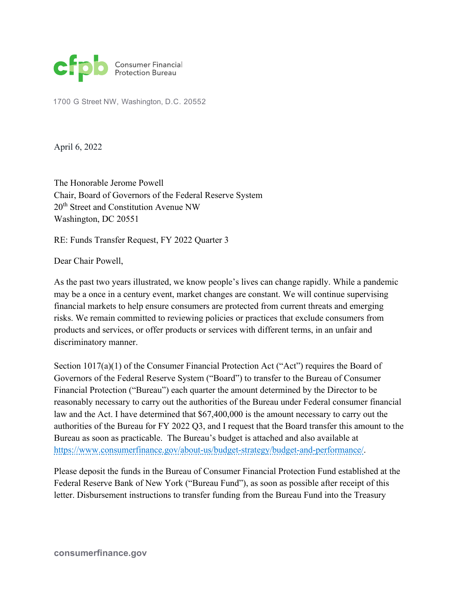

1700 G Street NW, Washington, D.C. 20552

April 6, 2022

The Honorable Jerome Powell Chair, Board of Governors of the Federal Reserve System 20<sup>th</sup> Street and Constitution Avenue NW Washington, DC 20551

RE: Funds Transfer Request, FY 2022 Quarter 3

Dear Chair Powell,

As the past two years illustrated, we know people's lives can change rapidly. While a pandemic may be a once in a century event, market changes are constant. We will continue supervising financial markets to help ensure consumers are protected from current threats and emerging risks. We remain committed to reviewing policies or practices that exclude consumers from products and services, or offer products or services with different terms, in an unfair and discriminatory manner.

Section 1017(a)(1) of the Consumer Financial Protection Act ("Act") requires the Board of Governors of the Federal Reserve System ("Board") to transfer to the Bureau of Consumer Financial Protection ("Bureau") each quarter the amount determined by the Director to be reasonably necessary to carry out the authorities of the Bureau under Federal consumer financial law and the Act. I have determined that \$67,400,000 is the amount necessary to carry out the authorities of the Bureau for FY 2022 Q3, and I request that the Board transfer this amount to the Bureau as soon as practicable. The Bureau's budget is attached and also available at https://www.consumerfinance.gov/about-us/budget-strategy/budget-and-performance/.

Please deposit the funds in the Bureau of Consumer Financial Protection Fund established at the Federal Reserve Bank of New York ("Bureau Fund"), as soon as possible after receipt of this letter. Disbursement instructions to transfer funding from the Bureau Fund into the Treasury